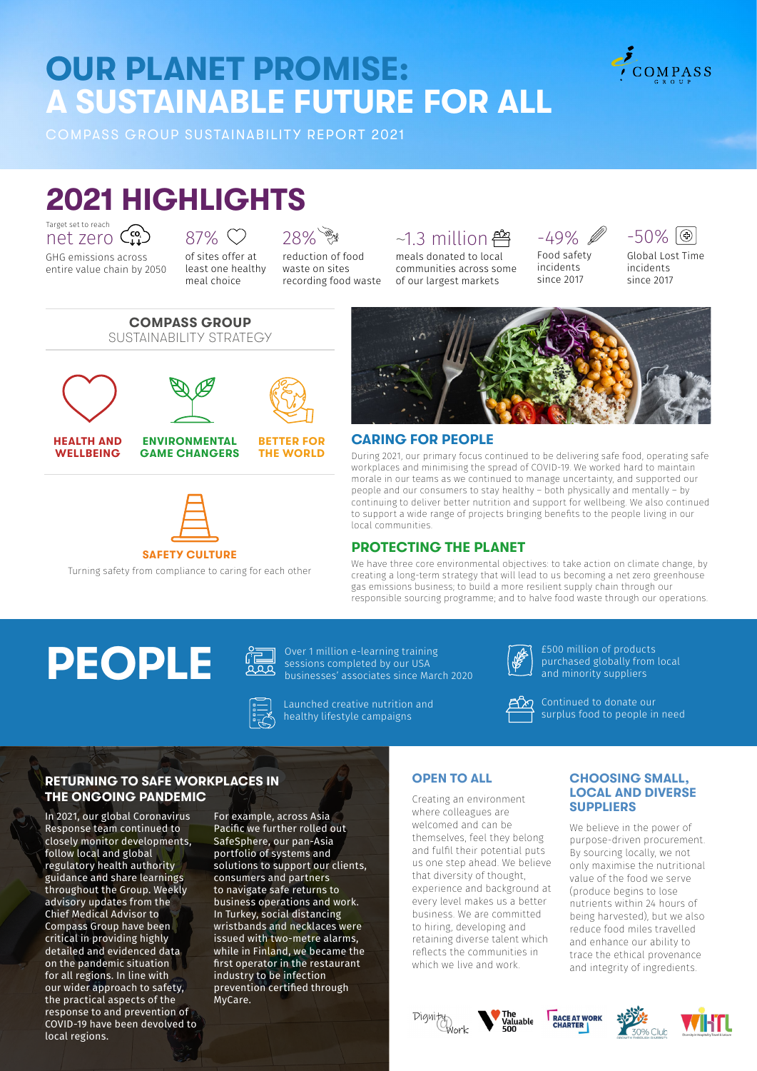# **OUR PLANET PROMISE: A SUSTAINABLE FUTURE FOR ALL**

COMPASS GROUP SUSTAINABILITY REPORT 2021

# **2021 HIGHLIGHTS**

Target set to reach net zero

**HEALTH AND WELLBEING**

GHG emissions across entire value chain by 2050

## 87% <sup> $\heartsuit$ </sup>

of sites offer at least one healthy meal choice

### 28%

reduction of food waste on sites recording food waste

## $~1.3$  million  $~4.3$

meals donated to local communities across some of our largest markets

## -49%

Food safety incidents since 2017



COMPASS

Global Lost Time incidents since 2017



#### **CARING FOR PEOPLE**

During 2021, our primary focus continued to be delivering safe food, operating safe workplaces and minimising the spread of COVID-19. We worked hard to maintain morale in our teams as we continued to manage uncertainty, and supported our people and our consumers to stay healthy – both physically and mentally – by continuing to deliver better nutrition and support for wellbeing. We also continued to support a wide range of projects bringing benefits to the people living in our local communities.

#### **PROTECTING THE PLANET**

We have three core environmental objectives: to take action on climate change, by creating a long-term strategy that will lead to us becoming a net zero greenhouse gas emissions business; to build a more resilient supply chain through our responsible sourcing programme; and to halve food waste through our operations.

# **PEOPLE CE** ORE OVER THE OVER THE SUBDIVISION OVER THE OVER THE OVER THE OVER THE OVER THE MATE



sessions completed by our USA businesses' associates since March 2020

Launched creative nutrition and healthy lifestyle campaigns



£500 million of products purchased globally from local and minority suppliers

Continued to donate our surplus food to people in need

#### **RETURNING TO SAFE WORKPLACES IN THE ONGOING PANDEMIC**

In 2021, our global Coronavirus Response team continued to closely monitor developments, follow local and global regulatory health authority guidance and share learnings throughout the Group. Weekly advisory updates from the Chief Medical Advisor to Compass Group have been critical in providing highly detailed and evidenced data on the pandemic situation for all regions. In line with our wider approach to safety, the practical aspects of the response to and prevention of COVID-19 have been devolved to local regions.

For example, across Asia Pacific we further rolled out SafeSphere, our pan-Asia portfolio of systems and solutions to support our clients, consumers and partners to navigate safe returns to business operations and work. In Turkey, social distancing wristbands and necklaces were issued with two-metre alarms, while in Finland, we became the first operator in the restaurant industry to be infection prevention certified through MyCare.

#### **OPEN TO ALL**

Creating an environment where colleagues are welcomed and can be themselves, feel they belong and fulfil their potential puts us one step ahead. We believe that diversity of thought, experience and background at every level makes us a better business. We are committed to hiring, developing and retaining diverse talent which reflects the communities in which we live and work.

#### **CHOOSING SMALL, LOCAL AND DIVERSE SUPPLIERS**

We believe in the power of purpose-driven procurement. By sourcing locally, we not only maximise the nutritional value of the food we serve (produce begins to lose nutrients within 24 hours of being harvested), but we also reduce food miles travelled and enhance our ability to trace the ethical provenance and integrity of ingredients.











**ENVIRONMENTAL GAME CHANGERS**







**BETTER FOR THE WORLD**